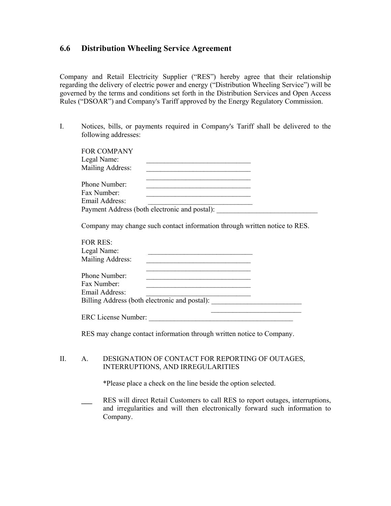## **6.6 Distribution Wheeling Service Agreement**

Company and Retail Electricity Supplier ("RES") hereby agree that their relationship regarding the delivery of electric power and energy ("Distribution Wheeling Service") will be governed by the terms and conditions set forth in the Distribution Services and Open Access Rules ("DSOAR") and Company's Tariff approved by the Energy Regulatory Commission.

I. Notices, bills, or payments required in Company's Tariff shall be delivered to the following addresses:

| <b>FOR COMPANY</b><br>Legal Name:<br>Mailing Address:                                          |
|------------------------------------------------------------------------------------------------|
| Phone Number:<br>Fax Number                                                                    |
| Email Address:<br>Payment Address (both electronic and postal):                                |
| Company may change such contact information through written notice to RES.                     |
| <b>FOR RES:</b><br>Legal Name:<br>Mailing Address:                                             |
| Phone Number<br>Fax Number:<br>Email Address:<br>Billing Address (both electronic and postal): |
| <b>ERC License Number:</b>                                                                     |

RES may change contact information through written notice to Company.

## II. A. DESIGNATION OF CONTACT FOR REPORTING OF OUTAGES, INTERRUPTIONS, AND IRREGULARITIES

\*Please place a check on the line beside the option selected.

RES will direct Retail Customers to call RES to report outages, interruptions, and irregularities and will then electronically forward such information to Company.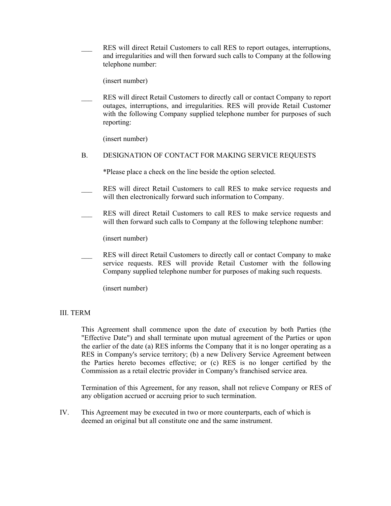RES will direct Retail Customers to call RES to report outages, interruptions, and irregularities and will then forward such calls to Company at the following telephone number:

(insert number)

RES will direct Retail Customers to directly call or contact Company to report outages, interruptions, and irregularities. RES will provide Retail Customer with the following Company supplied telephone number for purposes of such reporting:

(insert number)

#### B. DESIGNATION OF CONTACT FOR MAKING SERVICE REQUESTS

\*Please place a check on the line beside the option selected.

- RES will direct Retail Customers to call RES to make service requests and will then electronically forward such information to Company.
- RES will direct Retail Customers to call RES to make service requests and will then forward such calls to Company at the following telephone number:

(insert number)

RES will direct Retail Customers to directly call or contact Company to make service requests. RES will provide Retail Customer with the following Company supplied telephone number for purposes of making such requests.

(insert number)

### III. TERM

This Agreement shall commence upon the date of execution by both Parties (the "Effective Date") and shall terminate upon mutual agreement of the Parties or upon the earlier of the date (a) RES informs the Company that it is no longer operating as a RES in Company's service territory; (b) a new Delivery Service Agreement between the Parties hereto becomes effective; or (c) RES is no longer certified by the Commission as a retail electric provider in Company's franchised service area.

Termination of this Agreement, for any reason, shall not relieve Company or RES of any obligation accrued or accruing prior to such termination.

IV. This Agreement may be executed in two or more counterparts, each of which is deemed an original but all constitute one and the same instrument.